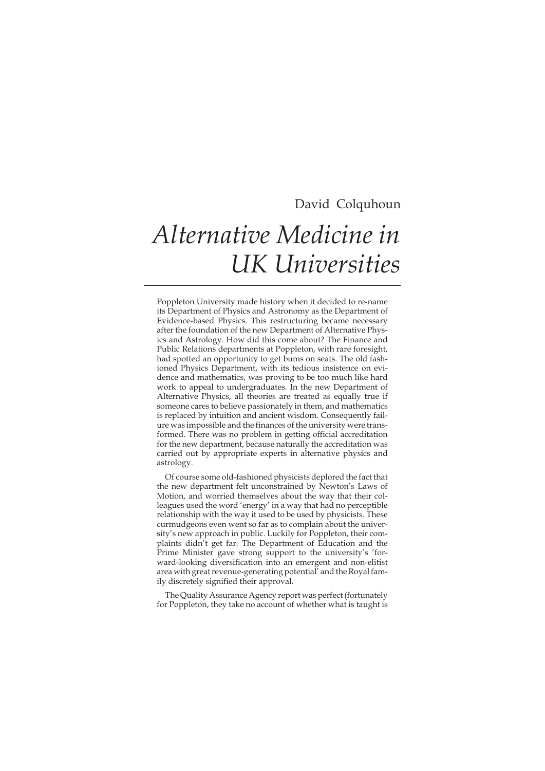# David Colquhoun *Alternative Medicine in UK Universities*

Poppleton University made history when it decided to re-name its Department of Physics and Astronomy as the Department of Evidence-based Physics. This restructuring became necessary after the foundation of the new Department of Alternative Physics and Astrology. How did this come about? The Finance and Public Relations departments at Poppleton, with rare foresight, had spotted an opportunity to get bums on seats. The old fashioned Physics Department, with its tedious insistence on evidence and mathematics, was proving to be too much like hard work to appeal to undergraduates. In the new Department of Alternative Physics, all theories are treated as equally true if someone cares to believe passionately in them, and mathematics is replaced by intuition and ancient wisdom. Consequently failure was impossible and the finances of the university were transformed. There was no problem in getting official accreditation for the new department, because naturally the accreditation was carried out by appropriate experts in alternative physics and astrology.

Of course some old-fashioned physicists deplored the fact that the new department felt unconstrained by Newton's Laws of Motion, and worried themselves about the way that their colleagues used the word 'energy' in a way that had no perceptible relationship with the way it used to be used by physicists. These curmudgeons even went so far as to complain about the university's new approach in public. Luckily for Poppleton, their complaints didn't get far. The Department of Education and the Prime Minister gave strong support to the university's 'forward-looking diversification into an emergent and non-elitist area with great revenue-generating potential' and the Royal family discretely signified their approval.

The Quality Assurance Agency report was perfect (fortunately for Poppleton, they take no account of whether what is taught is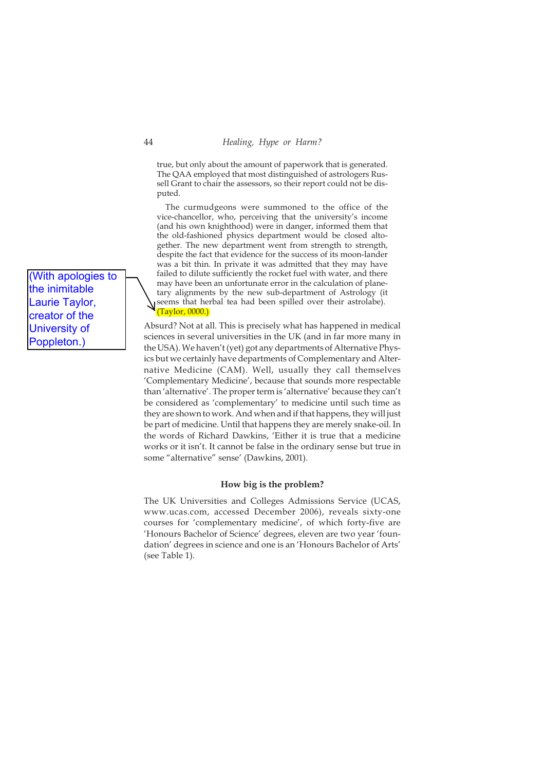true, but only about the amount of paperwork that is generated. The QAA employed that most distinguished of astrologers Russell Grant to chair the assessors, so their report could not be disputed.

The curmudgeons were summoned to the office of the vice-chancellor, who, perceiving that the university's income (and his own knighthood) were in danger, informed them that the old-fashioned physics department would be closed altogether. The new department went from strength to strength, despite the fact that evidence for the success of its moon-lander was a bit thin. In private it was admitted that they may have failed to dilute sufficiently the rocket fuel with water, and there may have been an unfortunate error in the calculation of planetary alignments by the new sub-department of Astrology (it seems that herbal tea had been spilled over their astrolabe). (Taylor, 0000.)

Absurd? Not at all. This is precisely what has happened in medical sciences in several universities in the UK (and in far more many in the USA). We haven't (yet) got any departments of Alternative Physics but we certainly have departments of Complementary and Alternative Medicine (CAM). Well, usually they call themselves 'Complementary Medicine', because that sounds more respectable than 'alternative'. The proper term is 'alternative' because they can't be considered as 'complementary' to medicine until such time as they are shown to work. And when and if that happens, they will just be part of medicine. Until that happens they are merely snake-oil. In the words of Richard Dawkins, 'Either it is true that a medicine works or it isn't. It cannot be false in the ordinary sense but true in some "alternative" sense' (Dawkins, 2001).

### **How big is the problem?**

The UK Universities and Colleges Admissions Service (UCAS, www.ucas.com, accessed December 2006), reveals sixty-one courses for 'complementary medicine', of which forty-five are 'Honours Bachelor of Science' degrees, eleven are two year 'foundation' degrees in science and one is an 'Honours Bachelor of Arts' (see Table 1).

(With apologies to the inimitable Laurie Taylor, creator of the University of Poppleton.)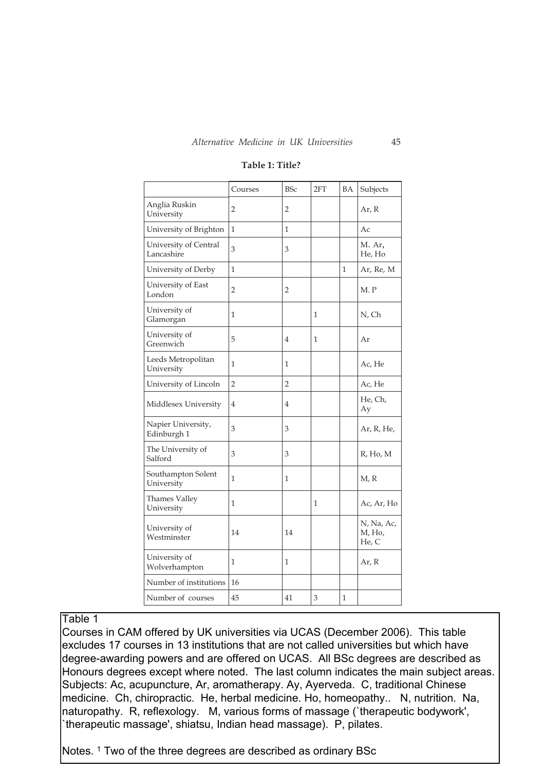|                                     | Courses        | <b>BSc</b>     | 2FT          | BA           | Subjects                      |
|-------------------------------------|----------------|----------------|--------------|--------------|-------------------------------|
| Anglia Ruskin<br>University         | 2              | 2              |              |              | Ar, R                         |
| University of Brighton              | $\mathbf{1}$   | $\mathbf{1}$   |              |              | Ac                            |
| University of Central<br>Lancashire | 3              | 3              |              |              | M. Ar,<br>He, Ho              |
| University of Derby                 | $\mathbf{1}$   |                |              | $\mathbf{1}$ | Ar, Re, M                     |
| University of East<br>London        | 2              | 2              |              |              | M. P                          |
| University of<br>Glamorgan          | 1              |                | 1            |              | N, Ch                         |
| University of<br>Greenwich          | 5              | $\overline{4}$ | 1            |              | Ar                            |
| Leeds Metropolitan<br>University    | 1              | 1              |              |              | Ac, He                        |
| University of Lincoln               | $\overline{2}$ | $\overline{2}$ |              |              | Ac, He                        |
| Middlesex University                | $\overline{4}$ | 4              |              |              | He, Ch,<br>Ay                 |
| Napier University,<br>Edinburgh 1   | 3              | 3              |              |              | Ar, R, He,                    |
| The University of<br>Salford        | 3              | 3              |              |              | R, Ho, M                      |
| Southampton Solent<br>University    | 1              | $\mathbf{1}$   |              |              | M, R                          |
| Thames Valley<br>University         | $\mathbf{1}$   |                | $\mathbf{1}$ |              | Ac, Ar, Ho                    |
| University of<br>Westminster        | 14             | 14             |              |              | N, Na, Ac,<br>M, Ho,<br>He, C |
| University of<br>Wolverhampton      | 1              | 1              |              |              | Ar, R                         |
| Number of institutions              | 16             |                |              |              |                               |
| Number of courses                   | 45             | 41             | 3            | $\mathbf{1}$ |                               |

## **Table 1: Title?**

## Table 1

Courses in CAM offered by UK universities via UCAS (December 2006). This table excludes 17 courses in 13 institutions that are not called universities but which have degree-awarding powers and are offered on UCAS. All BSc degrees are described as Honours degrees except where noted. The last column indicates the main subject areas. Subjects: Ac, acupuncture, Ar, aromatherapy. Ay, Ayerveda. C, traditional Chinese medicine. Ch, chiropractic. He, herbal medicine. Ho, homeopathy.. N, nutrition. Na, naturopathy. R, reflexology. M, various forms of massage (`therapeutic bodywork', `therapeutic massage', shiatsu, Indian head massage). P, pilates.

Notes.<sup>1</sup> Two of the three degrees are described as ordinary BSc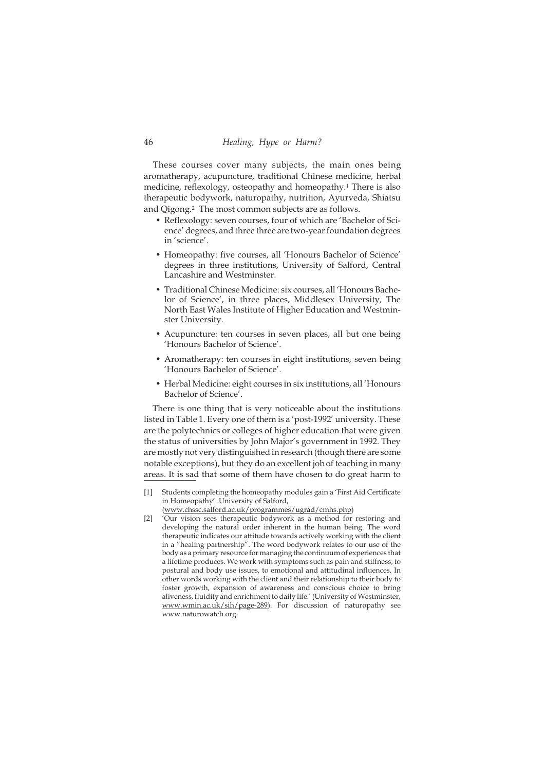These courses cover many subjects, the main ones being aromatherapy, acupuncture, traditional Chinese medicine, herbal medicine, reflexology, osteopathy and homeopathy.<sup>1</sup> There is also therapeutic bodywork, naturopathy, nutrition, Ayurveda, Shiatsu and Qigong.<sup>2</sup> The most common subjects are as follows.

- Reflexology: seven courses, four of which are 'Bachelor of Science' degrees, and three three are two-year foundation degrees in 'science'.
- Homeopathy: five courses, all 'Honours Bachelor of Science' degrees in three institutions, University of Salford, Central Lancashire and Westminster.
- Traditional Chinese Medicine: six courses, all 'Honours Bachelor of Science', in three places, Middlesex University, The North East Wales Institute of Higher Education and Westminster University.
- Acupuncture: ten courses in seven places, all but one being 'Honours Bachelor of Science'.
- Aromatherapy: ten courses in eight institutions, seven being 'Honours Bachelor of Science'.
- Herbal Medicine: eight courses in six institutions, all 'Honours Bachelor of Science'.

There is one thing that is very noticeable about the institutions listed in Table 1. Every one of them is a 'post-1992' university. These are the polytechnics or colleges of higher education that were given the status of universities by John Major's government in 1992. They are mostly not very distinguished in research (though there are some notable exceptions), but they do an excellent job of teaching in many areas. It is sad that some of them have chosen to do great harm to

[1] Students completing the homeopathy modules gain a 'First Aid Certificate in Homeopathy'. University of Salford,

[2] 'Our vision sees therapeutic bodywork as a method for restoring and developing the natural order inherent in the human being. The word therapeutic indicates our attitude towards actively working with the client in a "healing partnership". The word bodywork relates to our use of the body as a primary resource for managing the continuum of experiences that a lifetime produces. We work with symptoms such as pain and stiffness, to postural and body use issues, to emotional and attitudinal influences. In other words working with the client and their relationship to their body to foster growth, expansion of awareness and conscious choice to bring aliveness, fluidity and enrichment to daily life.' (University of Westminster, www.wmin.ac.uk/sih/page-289). For discussion of naturopathy see www.naturowatch.org

<sup>(</sup>www.chssc.salford.ac.uk/programmes/ugrad/cmhs.php)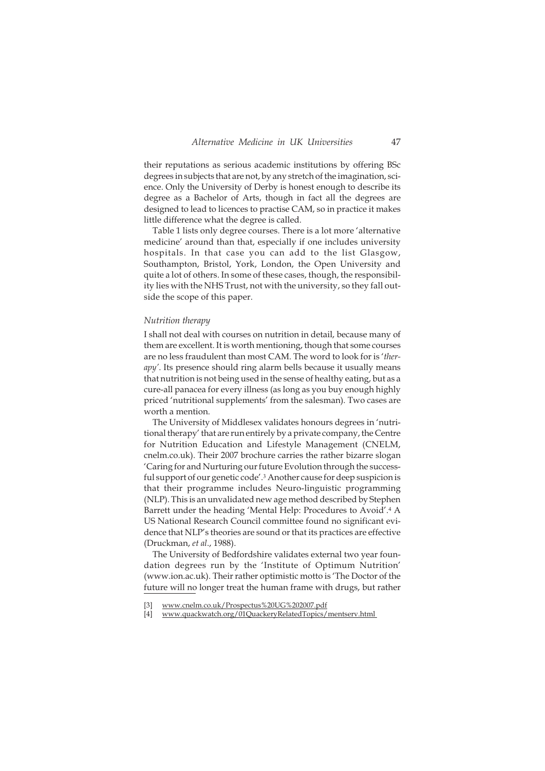their reputations as serious academic institutions by offering BSc degrees in subjects that are not, by any stretch of the imagination, science. Only the University of Derby is honest enough to describe its degree as a Bachelor of Arts, though in fact all the degrees are designed to lead to licences to practise CAM, so in practice it makes little difference what the degree is called.

Table 1 lists only degree courses. There is a lot more 'alternative medicine' around than that, especially if one includes university hospitals. In that case you can add to the list Glasgow, Southampton, Bristol, York, London, the Open University and quite a lot of others. In some of these cases, though, the responsibility lies with the NHS Trust, not with the university, so they fall outside the scope of this paper.

#### *Nutrition therapy*

I shall not deal with courses on nutrition in detail, because many of them are excellent. It is worth mentioning, though that some courses are no less fraudulent than most CAM. The word to look for is '*therapy'*. Its presence should ring alarm bells because it usually means that nutrition is not being used in the sense of healthy eating, but as a cure-all panacea for every illness (as long as you buy enough highly priced 'nutritional supplements' from the salesman). Two cases are worth a mention.

The University of Middlesex validates honours degrees in 'nutritional therapy' that are run entirely by a private company, the Centre for Nutrition Education and Lifestyle Management (CNELM, cnelm.co.uk). Their 2007 brochure carries the rather bizarre slogan 'Caring for and Nurturing our future Evolution through the successful support of our genetic code'.<sup>3</sup> Another cause for deep suspicion is that their programme includes Neuro-linguistic programming (NLP). This is an unvalidated new age method described by Stephen Barrett under the heading 'Mental Help: Procedures to Avoid'.<sup>4</sup> A US National Research Council committee found no significant evidence that NLP's theories are sound or that its practices are effective (Druckman, *et al*., 1988).

The University of Bedfordshire validates external two year foundation degrees run by the 'Institute of Optimum Nutrition' (www.ion.ac.uk). Their rather optimistic motto is 'The Doctor of the future will no longer treat the human frame with drugs, but rather

<sup>[3]</sup> www.cnelm.co.uk/Prospectus%20UG%202007.pdf

<sup>[4]</sup> www.quackwatch.org/01QuackeryRelatedTopics/mentserv.html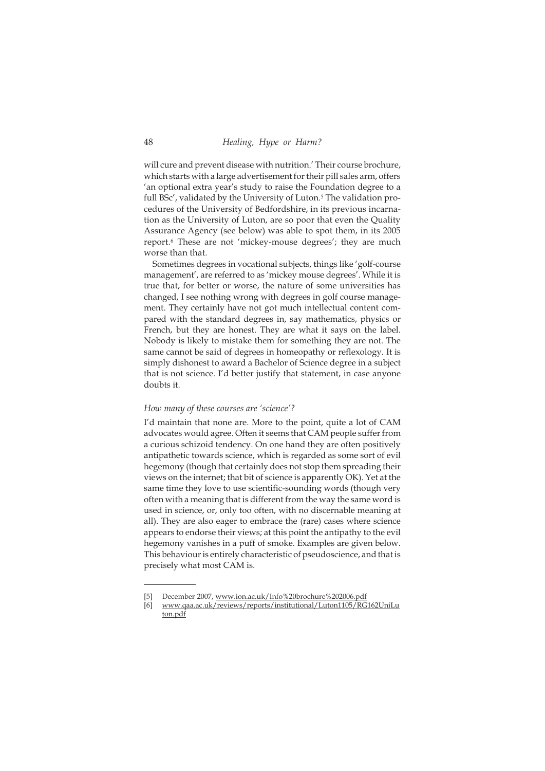will cure and prevent disease with nutrition.' Their course brochure, which starts with a large advertisement for their pill sales arm, offers 'an optional extra year's study to raise the Foundation degree to a full BSc', validated by the University of Luton.<sup>5</sup> The validation procedures of the University of Bedfordshire, in its previous incarnation as the University of Luton, are so poor that even the Quality Assurance Agency (see below) was able to spot them, in its 2005 report.<sup>6</sup> These are not 'mickey-mouse degrees'; they are much worse than that.

Sometimes degrees in vocational subjects, things like 'golf-course management', are referred to as 'mickey mouse degrees'. While it is true that, for better or worse, the nature of some universities has changed, I see nothing wrong with degrees in golf course management. They certainly have not got much intellectual content compared with the standard degrees in, say mathematics, physics or French, but they are honest. They are what it says on the label. Nobody is likely to mistake them for something they are not. The same cannot be said of degrees in homeopathy or reflexology. It is simply dishonest to award a Bachelor of Science degree in a subject that is not science. I'd better justify that statement, in case anyone doubts it.

#### *How many of these courses are 'science'?*

I'd maintain that none are. More to the point, quite a lot of CAM advocates would agree. Often it seems that CAM people suffer from a curious schizoid tendency. On one hand they are often positively antipathetic towards science, which is regarded as some sort of evil hegemony (though that certainly does not stop them spreading their views on the internet; that bit of science is apparently OK). Yet at the same time they love to use scientific-sounding words (though very often with a meaning that is different from the way the same word is used in science, or, only too often, with no discernable meaning at all). They are also eager to embrace the (rare) cases where science appears to endorse their views; at this point the antipathy to the evil hegemony vanishes in a puff of smoke. Examples are given below. This behaviour is entirely characteristic of pseudoscience, and that is precisely what most CAM is.

December 2007, www.ion.ac.uk/Info%20brochure%202006.pdf

<sup>[6]</sup> www.qaa.ac.uk/reviews/reports/institutional/Luton1105/RG162UniLu ton.pdf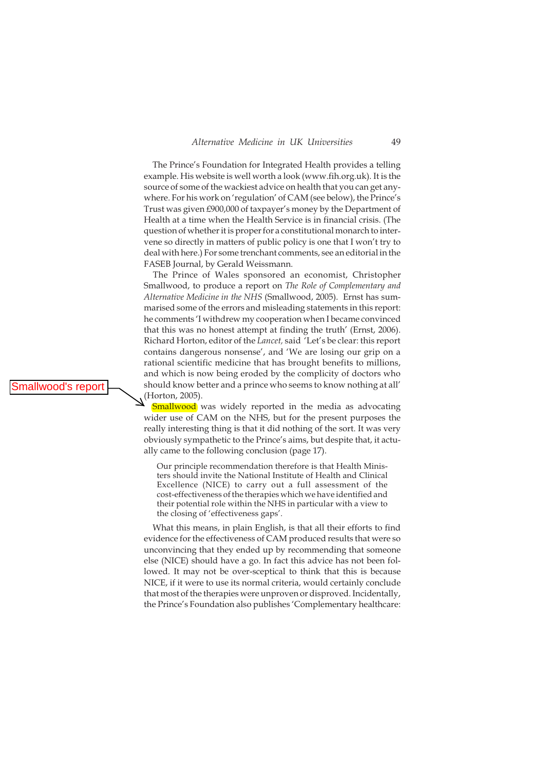The Prince's Foundation for Integrated Health provides a telling example. His website is well worth a look (www.fih.org.uk). It is the source of some of the wackiest advice on health that you can get anywhere. For his work on 'regulation' of CAM (see below), the Prince's Trust was given £900,000 of taxpayer's money by the Department of Health at a time when the Health Service is in financial crisis. (The question of whether it is proper for a constitutional monarch to intervene so directly in matters of public policy is one that I won't try to deal with here.) For some trenchant comments, see an editorial in the FASEB Journal, by Gerald Weissmann.

The Prince of Wales sponsored an economist, Christopher Smallwood, to produce a report on *The Role of Complementary and Alternative Medicine in the NHS* (Smallwood, 2005). Ernst has summarised some of the errors and misleading statements in this report: he comments 'I withdrew my cooperation when I became convinced that this was no honest attempt at finding the truth' (Ernst, 2006). Richard Horton, editor of the *Lancet,* said 'Let's be clear: this report contains dangerous nonsense', and 'We are losing our grip on a rational scientific medicine that has brought benefits to millions, and which is now being eroded by the complicity of doctors who should know better and a prince who seems to know nothing at all'  $\Delta$ <sup>(Horton, 2005).</sup>

**Smallwood** was widely reported in the media as advocating wider use of CAM on the NHS, but for the present purposes the really interesting thing is that it did nothing of the sort. It was very obviously sympathetic to the Prince's aims, but despite that, it actually came to the following conclusion (page 17).

Our principle recommendation therefore is that Health Ministers should invite the National Institute of Health and Clinical Excellence (NICE) to carry out a full assessment of the cost-effectiveness of the therapies which we have identified and their potential role within the NHS in particular with a view to the closing of 'effectiveness gaps'.

What this means, in plain English, is that all their efforts to find evidence for the effectiveness of CAM produced results that were so unconvincing that they ended up by recommending that someone else (NICE) should have a go. In fact this advice has not been followed. It may not be over-sceptical to think that this is because NICE, if it were to use its normal criteria, would certainly conclude that most of the therapies were unproven or disproved. Incidentally, the Prince's Foundation also publishes 'Complementary healthcare:

Smallwood's report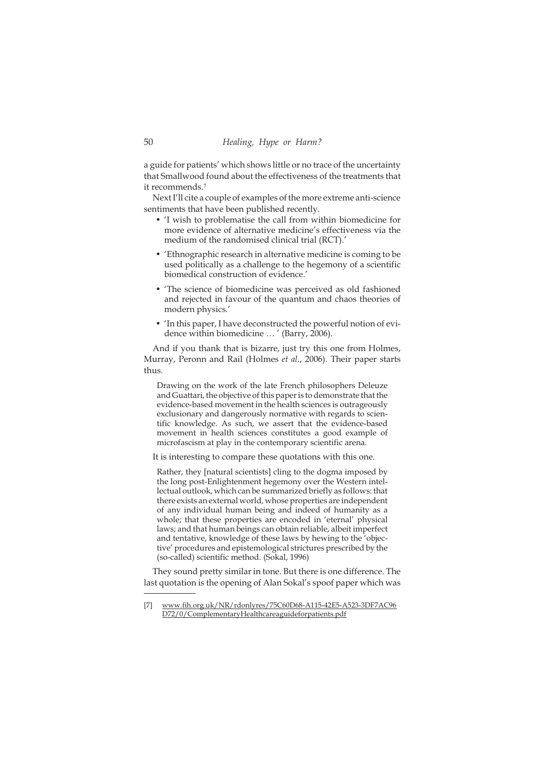a guide for patients' which shows little or no trace of the uncertainty that Smallwood found about the effectiveness of the treatments that it recommends.<sup>7</sup>

Next I'll cite a couple of examples of the more extreme anti-science sentiments that have been published recently.

- 'I wish to problematise the call from within biomedicine for more evidence of alternative medicine's effectiveness via the medium of the randomised clinical trial (RCT).'
- 'Ethnographic research in alternative medicine is coming to be used politically as a challenge to the hegemony of a scientific biomedical construction of evidence.'
- 'The science of biomedicine was perceived as old fashioned and rejected in favour of the quantum and chaos theories of modern physics.'
- 'In this paper, I have deconstructed the powerful notion of evidence within biomedicine … ' (Barry, 2006).

And if you thank that is bizarre, just try this one from Holmes, Murray, Peronn and Rail (Holmes *et al*., 2006). Their paper starts thus.

Drawing on the work of the late French philosophers Deleuze and Guattari, the objective of this paper is to demonstrate that the evidence-based movement in the health sciences is outrageously exclusionary and dangerously normative with regards to scientific knowledge. As such, we assert that the evidence-based movement in health sciences constitutes a good example of microfascism at play in the contemporary scientific arena.

It is interesting to compare these quotations with this one.

Rather, they [natural scientists] cling to the dogma imposed by the long post-Enlightenment hegemony over the Western intellectual outlook, which can be summarized briefly as follows: that there exists an external world, whose properties are independent of any individual human being and indeed of humanity as a whole; that these properties are encoded in 'eternal' physical laws; and that human beings can obtain reliable, albeit imperfect and tentative, knowledge of these laws by hewing to the 'objective' procedures and epistemological strictures prescribed by the (so-called) scientific method. (Sokal, 1996)

They sound pretty similar in tone. But there is one difference. The last quotation is the opening of Alan Sokal's spoof paper which was

<sup>[7]</sup> www.fih.org.uk/NR/rdonlyres/75C60D68-A115-42E5-A523-3DF7AC96 D72/0/ComplementaryHealthcareaguideforpatients.pdf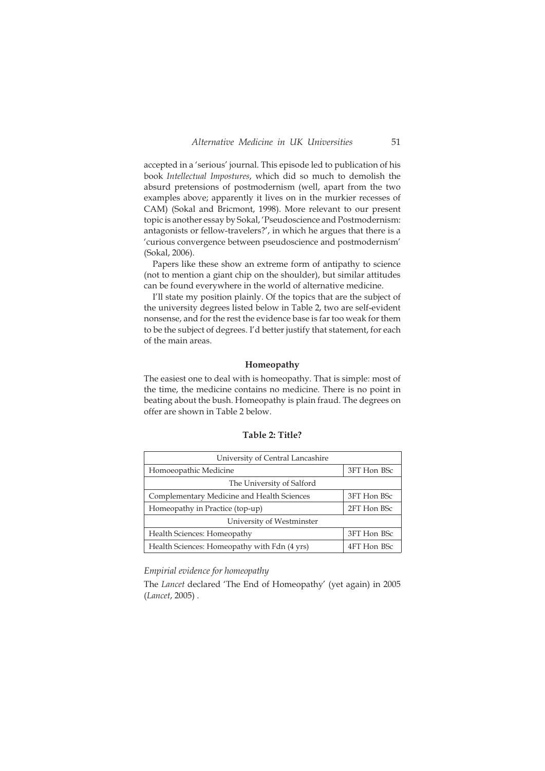accepted in a 'serious' journal. This episode led to publication of his book *Intellectual Impostures*, which did so much to demolish the absurd pretensions of postmodernism (well, apart from the two examples above; apparently it lives on in the murkier recesses of CAM) (Sokal and Bricmont, 1998). More relevant to our present topic is another essay by Sokal, 'Pseudoscience and Postmodernism: antagonists or fellow-travelers?', in which he argues that there is a 'curious convergence between pseudoscience and postmodernism' (Sokal, 2006).

Papers like these show an extreme form of antipathy to science (not to mention a giant chip on the shoulder), but similar attitudes can be found everywhere in the world of alternative medicine.

I'll state my position plainly. Of the topics that are the subject of the university degrees listed below in Table 2, two are self-evident nonsense, and for the rest the evidence base is far too weak for them to be the subject of degrees. I'd better justify that statement, for each of the main areas.

## **Homeopathy**

The easiest one to deal with is homeopathy. That is simple: most of the time, the medicine contains no medicine. There is no point in beating about the bush. Homeopathy is plain fraud. The degrees on offer are shown in Table 2 below.

| University of Central Lancashire             |             |  |  |  |
|----------------------------------------------|-------------|--|--|--|
| Homoeopathic Medicine                        | 3FT Hon BSc |  |  |  |
| The University of Salford                    |             |  |  |  |
| Complementary Medicine and Health Sciences   | 3FT Hon BSc |  |  |  |
| Homeopathy in Practice (top-up)              | 2FT Hon BSc |  |  |  |
| University of Westminster                    |             |  |  |  |
| Health Sciences: Homeopathy                  | 3FT Hon BSc |  |  |  |
| Health Sciences: Homeopathy with Fdn (4 yrs) | 4FT Hon BSc |  |  |  |

## **Table 2: Title?**

## *Empirial evidence for homeopathy*

The *Lancet* declared 'The End of Homeopathy' (yet again) in 2005 (*Lancet*, 2005) .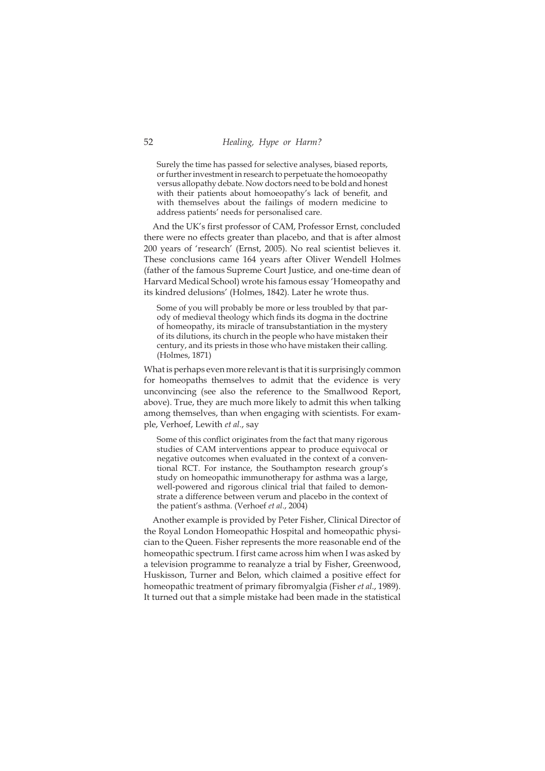Surely the time has passed for selective analyses, biased reports, or further investment in research to perpetuate the homoeopathy versus allopathy debate. Now doctors need to be bold and honest with their patients about homoeopathy's lack of benefit, and with themselves about the failings of modern medicine to address patients' needs for personalised care.

And the UK's first professor of CAM, Professor Ernst, concluded there were no effects greater than placebo, and that is after almost 200 years of 'research' (Ernst, 2005). No real scientist believes it. These conclusions came 164 years after Oliver Wendell Holmes (father of the famous Supreme Court Justice, and one-time dean of Harvard Medical School) wrote his famous essay 'Homeopathy and its kindred delusions' (Holmes, 1842). Later he wrote thus.

Some of you will probably be more or less troubled by that parody of medieval theology which finds its dogma in the doctrine of homeopathy, its miracle of transubstantiation in the mystery of its dilutions, its church in the people who have mistaken their century, and its priests in those who have mistaken their calling. (Holmes, 1871)

What is perhaps even more relevant is that it is surprisingly common for homeopaths themselves to admit that the evidence is very unconvincing (see also the reference to the Smallwood Report, above). True, they are much more likely to admit this when talking among themselves, than when engaging with scientists. For example, Verhoef, Lewith *et al*., say

Some of this conflict originates from the fact that many rigorous studies of CAM interventions appear to produce equivocal or negative outcomes when evaluated in the context of a conventional RCT. For instance, the Southampton research group's study on homeopathic immunotherapy for asthma was a large, well-powered and rigorous clinical trial that failed to demonstrate a difference between verum and placebo in the context of the patient's asthma. (Verhoef *et al*., 2004)

Another example is provided by Peter Fisher, Clinical Director of the Royal London Homeopathic Hospital and homeopathic physician to the Queen. Fisher represents the more reasonable end of the homeopathic spectrum. I first came across him when I was asked by a television programme to reanalyze a trial by Fisher, Greenwood, Huskisson, Turner and Belon, which claimed a positive effect for homeopathic treatment of primary fibromyalgia (Fisher *et al*., 1989). It turned out that a simple mistake had been made in the statistical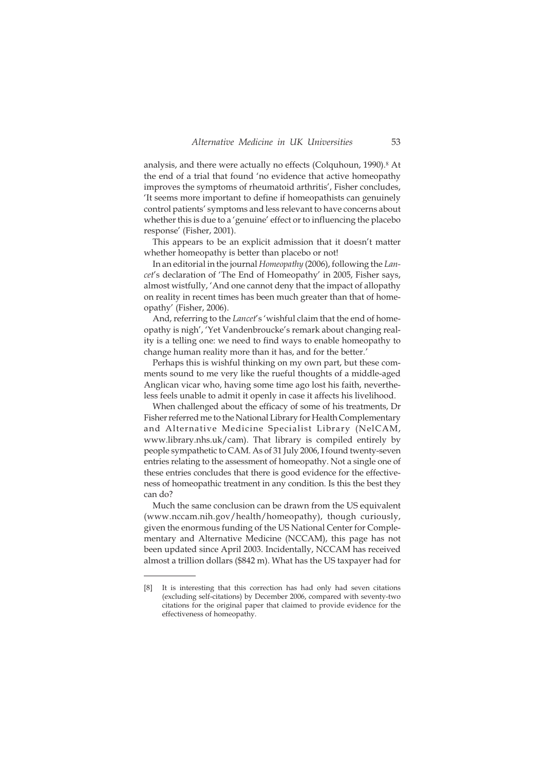analysis, and there were actually no effects (Colquhoun, 1990).<sup>8</sup> At the end of a trial that found 'no evidence that active homeopathy improves the symptoms of rheumatoid arthritis', Fisher concludes, 'It seems more important to define if homeopathists can genuinely control patients' symptoms and less relevant to have concerns about whether this is due to a 'genuine' effect or to influencing the placebo response' (Fisher, 2001).

This appears to be an explicit admission that it doesn't matter whether homeopathy is better than placebo or not!

In an editorial in the journal *Homeopathy* (2006), following the *Lancet*'s declaration of 'The End of Homeopathy' in 2005, Fisher says, almost wistfully, 'And one cannot deny that the impact of allopathy on reality in recent times has been much greater than that of homeopathy' (Fisher, 2006).

And, referring to the *Lancet*'s 'wishful claim that the end of homeopathy is nigh', 'Yet Vandenbroucke's remark about changing reality is a telling one: we need to find ways to enable homeopathy to change human reality more than it has, and for the better.'

Perhaps this is wishful thinking on my own part, but these comments sound to me very like the rueful thoughts of a middle-aged Anglican vicar who, having some time ago lost his faith, nevertheless feels unable to admit it openly in case it affects his livelihood.

When challenged about the efficacy of some of his treatments, Dr Fisher referred me to the National Library for Health Complementary and Alternative Medicine Specialist Library (NelCAM, www.library.nhs.uk/cam). That library is compiled entirely by people sympathetic to CAM. As of 31 July 2006, I found twenty-seven entries relating to the assessment of homeopathy. Not a single one of these entries concludes that there is good evidence for the effectiveness of homeopathic treatment in any condition. Is this the best they can do?

Much the same conclusion can be drawn from the US equivalent (www.nccam.nih.gov/health/homeopathy), though curiously, given the enormous funding of the US National Center for Complementary and Alternative Medicine (NCCAM), this page has not been updated since April 2003. Incidentally, NCCAM has received almost a trillion dollars (\$842 m). What has the US taxpayer had for

<sup>[8]</sup> It is interesting that this correction has had only had seven citations (excluding self-citations) by December 2006, compared with seventy-two citations for the original paper that claimed to provide evidence for the effectiveness of homeopathy.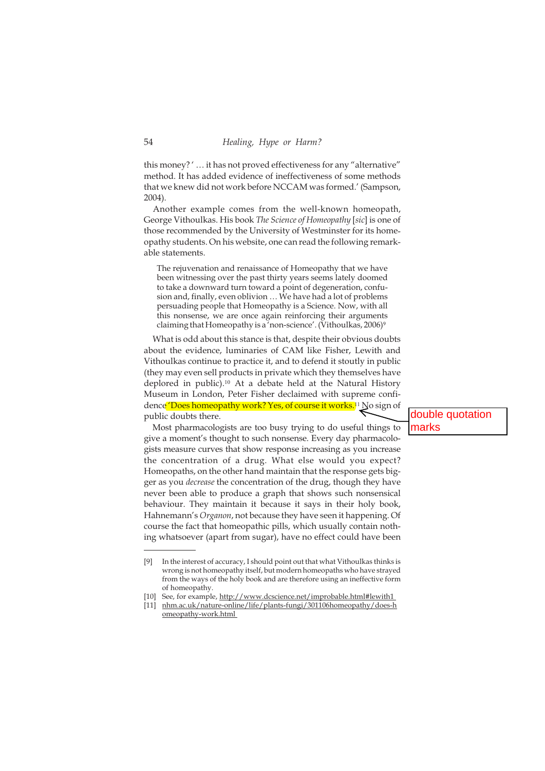this money? ' … it has not proved effectiveness for any "alternative" method. It has added evidence of ineffectiveness of some methods that we knew did not work before NCCAM was formed.' (Sampson, 2004).

Another example comes from the well-known homeopath, George Vithoulkas. His book *The Science of Homeopathy* [*sic*] is one of those recommended by the University of Westminster for its homeopathy students. On his website, one can read the following remarkable statements.

The rejuvenation and renaissance of Homeopathy that we have been witnessing over the past thirty years seems lately doomed to take a downward turn toward a point of degeneration, confusion and, finally, even oblivion … We have had a lot of problems persuading people that Homeopathy is a Science. Now, with all this nonsense, we are once again reinforcing their arguments claiming that Homeopathy is a 'non-science'. (Vithoulkas, 2006)<sup>9</sup>

What is odd about this stance is that, despite their obvious doubts about the evidence, luminaries of CAM like Fisher, Lewith and Vithoulkas continue to practice it, and to defend it stoutly in public (they may even sell products in private which they themselves have deplored in public).<sup>10</sup> At a debate held at the Natural History Museum in London, Peter Fisher declaimed with supreme confidence 'Does homeopathy work? Yes, of course it works.<sup>11</sup> No sign of public doubts there.

Most pharmacologists are too busy trying to do useful things to give a moment's thought to such nonsense. Every day pharmacologists measure curves that show response increasing as you increase the concentration of a drug. What else would you expect? Homeopaths, on the other hand maintain that the response gets bigger as you *decrease* the concentration of the drug, though they have never been able to produce a graph that shows such nonsensical behaviour. They maintain it because it says in their holy book, Hahnemann's *Organon*, not because they have seen it happening. Of course the fact that homeopathic pills, which usually contain nothing whatsoever (apart from sugar), have no effect could have been

[10] See, for example, http://www.dcscience.net/improbable.html#lewith1

double quotation marks

<sup>[9]</sup> In the interest of accuracy, I should point out that what Vithoulkas thinks is wrong is not homeopathy itself, but modern homeopaths who have strayed from the ways of the holy book and are therefore using an ineffective form of homeopathy.

<sup>[11]</sup> nhm.ac.uk/nature-online/life/plants-fungi/301106homeopathy/does-h omeopathy-work.html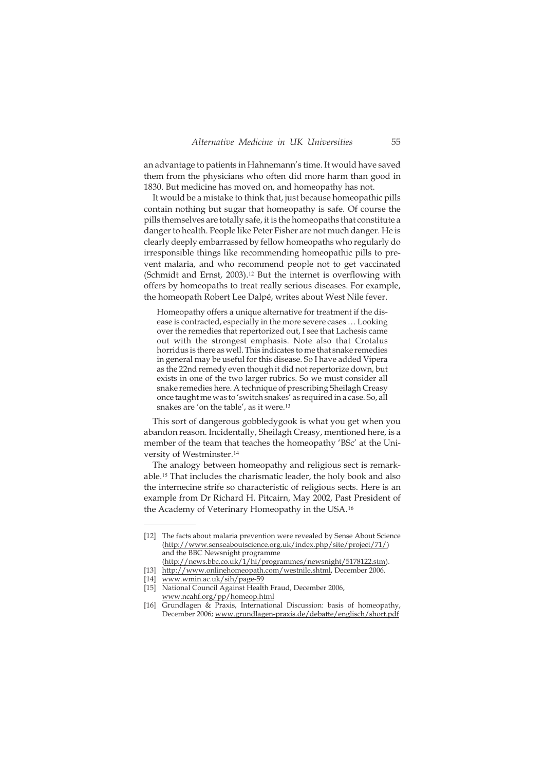an advantage to patients in Hahnemann's time. It would have saved them from the physicians who often did more harm than good in 1830. But medicine has moved on, and homeopathy has not.

It would be a mistake to think that, just because homeopathic pills contain nothing but sugar that homeopathy is safe. Of course the pills themselves are totally safe, it is the homeopaths that constitute a danger to health. People like Peter Fisher are not much danger. He is clearly deeply embarrassed by fellow homeopaths who regularly do irresponsible things like recommending homeopathic pills to prevent malaria, and who recommend people not to get vaccinated (Schmidt and Ernst, 2003).<sup>12</sup> But the internet is overflowing with offers by homeopaths to treat really serious diseases. For example, the homeopath Robert Lee Dalpé, writes about West Nile fever.

Homeopathy offers a unique alternative for treatment if the disease is contracted, especially in the more severe cases … Looking over the remedies that repertorized out, I see that Lachesis came out with the strongest emphasis. Note also that Crotalus horridus is there as well. This indicates to me that snake remedies in general may be useful for this disease. So I have added Vipera as the 22nd remedy even though it did not repertorize down, but exists in one of the two larger rubrics. So we must consider all snake remedies here. A technique of prescribing Sheilagh Creasy once taught me was to 'switch snakes' as required in a case. So, all snakes are 'on the table', as it were.<sup>13</sup>

This sort of dangerous gobbledygook is what you get when you abandon reason. Incidentally, Sheilagh Creasy, mentioned here, is a member of the team that teaches the homeopathy 'BSc' at the University of Westminster.<sup>14</sup>

The analogy between homeopathy and religious sect is remarkable.<sup>15</sup> That includes the charismatic leader, the holy book and also the internecine strife so characteristic of religious sects. Here is an example from Dr Richard H. Pitcairn, May 2002, Past President of the Academy of Veterinary Homeopathy in the USA.<sup>16</sup>

<sup>[12]</sup> The facts about malaria prevention were revealed by Sense About Science (http://www.senseaboutscience.org.uk/index.php/site/project/71/) and the BBC Newsnight programme

<sup>(</sup>http://news.bbc.co.uk/1/hi/programmes/newsnight/5178122.stm). [13] http://www.onlinehomeopath.com/westnile.shtml, December 2006.

<sup>[14]</sup> www.wmin.ac.uk/sih/page-59

<sup>[15]</sup> National Council Against Health Fraud, December 2006, www.ncahf.org/pp/homeop.html

<sup>[16]</sup> Grundlagen & Praxis, International Discussion: basis of homeopathy, December 2006; www.grundlagen-praxis.de/debatte/englisch/short.pdf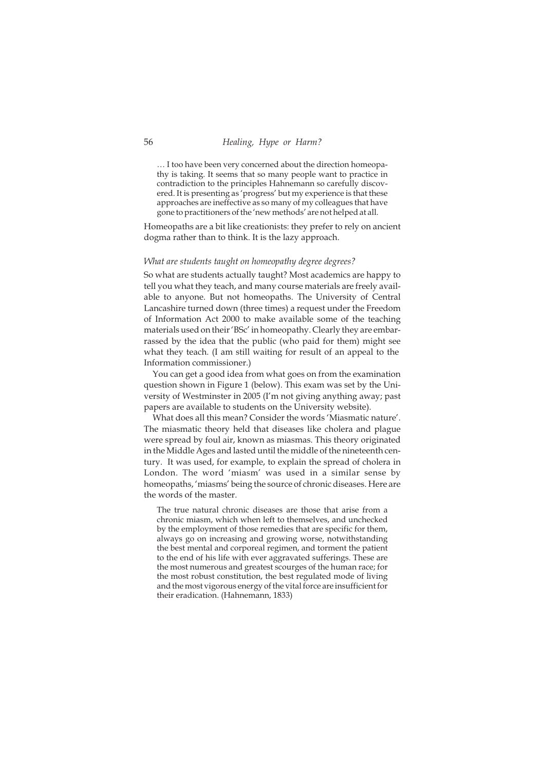… I too have been very concerned about the direction homeopathy is taking. It seems that so many people want to practice in contradiction to the principles Hahnemann so carefully discovered. It is presenting as 'progress' but my experience is that these approaches are ineffective as so many of my colleagues that have gone to practitioners of the 'new methods' are not helped at all.

Homeopaths are a bit like creationists: they prefer to rely on ancient dogma rather than to think. It is the lazy approach.

#### *What are students taught on homeopathy degree degrees?*

So what are students actually taught? Most academics are happy to tell you what they teach, and many course materials are freely available to anyone. But not homeopaths. The University of Central Lancashire turned down (three times) a request under the Freedom of Information Act 2000 to make available some of the teaching materials used on their 'BSc' in homeopathy. Clearly they are embarrassed by the idea that the public (who paid for them) might see what they teach. (I am still waiting for result of an appeal to the Information commissioner.)

You can get a good idea from what goes on from the examination question shown in Figure 1 (below). This exam was set by the University of Westminster in 2005 (I'm not giving anything away; past papers are available to students on the University website).

What does all this mean? Consider the words 'Miasmatic nature'. The miasmatic theory held that diseases like cholera and plague were spread by foul air, known as miasmas. This theory originated in the Middle Ages and lasted until the middle of the nineteenth century. It was used, for example, to explain the spread of cholera in London. The word 'miasm' was used in a similar sense by homeopaths, 'miasms' being the source of chronic diseases. Here are the words of the master.

The true natural chronic diseases are those that arise from a chronic miasm, which when left to themselves, and unchecked by the employment of those remedies that are specific for them, always go on increasing and growing worse, notwithstanding the best mental and corporeal regimen, and torment the patient to the end of his life with ever aggravated sufferings. These are the most numerous and greatest scourges of the human race; for the most robust constitution, the best regulated mode of living and the most vigorous energy of the vital force are insufficient for their eradication. (Hahnemann, 1833)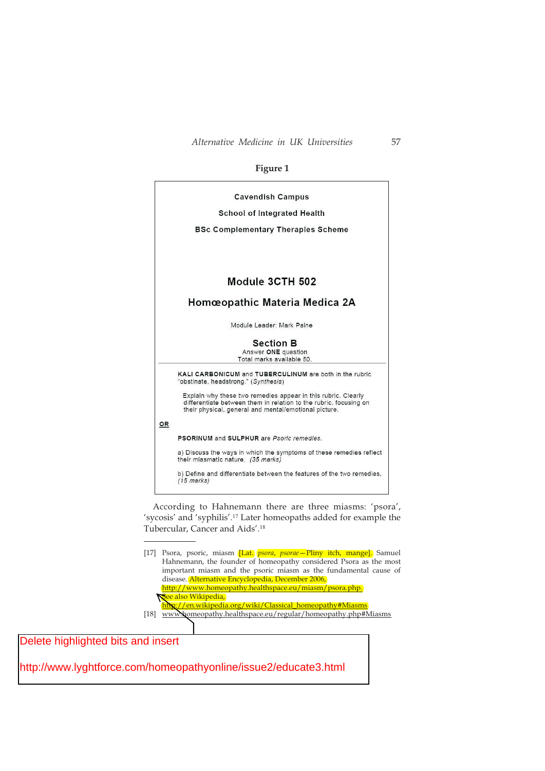## **Figure 1**



According to Hahnemann there are three miasms: 'psora', 'sycosis' and 'syphilis'.<sup>17</sup> Later homeopaths added for example the Tubercular, Cancer and Aids'.<sup>18</sup>

[17] Psora, psoric, miasm [Lat. *psora*, *psorae*—Pliny itch, mange]. Samuel Hahnemann, the founder of homeopathy considered Psora as the most important miasm and the psoric miasm as the fundamental cause of disease. Alternative Encyclopedia, December 2006, http://www.homeopathy.healthspace.eu/miasm/psora.php. See also Wikipedia, http://en.wikipedia.org/wiki/Classical\_homeopathy#Miasms [18] www.homeopathy.healthspace.eu/regular/homeopathy.php#Miasms

Delete highlighted bits and insert

http://www.lyghtforce.com/homeopathyonline/issue2/educate3.html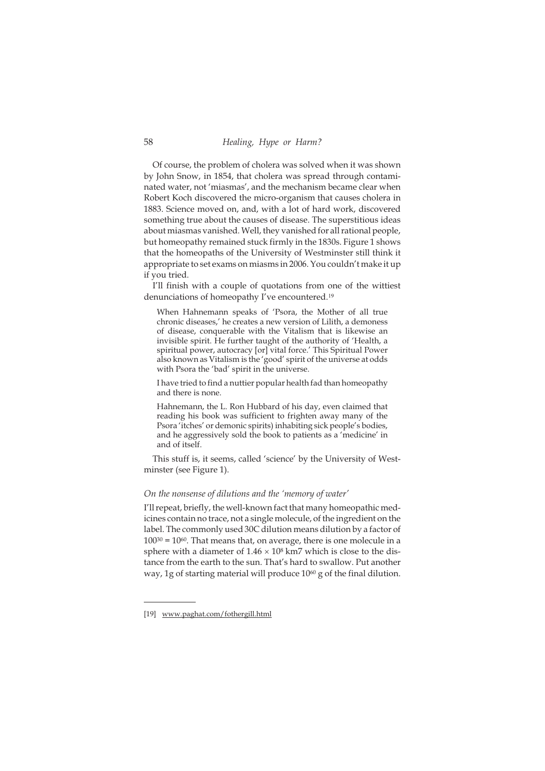Of course, the problem of cholera was solved when it was shown by John Snow, in 1854, that cholera was spread through contaminated water, not 'miasmas', and the mechanism became clear when Robert Koch discovered the micro-organism that causes cholera in 1883. Science moved on, and, with a lot of hard work, discovered something true about the causes of disease. The superstitious ideas about miasmas vanished. Well, they vanished for all rational people, but homeopathy remained stuck firmly in the 1830s. Figure 1 shows that the homeopaths of the University of Westminster still think it appropriate to set exams on miasms in 2006. You couldn't make it up if you tried.

I'll finish with a couple of quotations from one of the wittiest denunciations of homeopathy I've encountered.<sup>19</sup>

When Hahnemann speaks of 'Psora, the Mother of all true chronic diseases,' he creates a new version of Lilith, a demoness of disease, conquerable with the Vitalism that is likewise an invisible spirit. He further taught of the authority of 'Health, a spiritual power, autocracy [or] vital force.' This Spiritual Power also known as Vitalism is the 'good' spirit of the universe at odds with Psora the 'bad' spirit in the universe.

I have tried to find a nuttier popular health fad than homeopathy and there is none.

Hahnemann, the L. Ron Hubbard of his day, even claimed that reading his book was sufficient to frighten away many of the Psora 'itches' or demonic spirits) inhabiting sick people's bodies, and he aggressively sold the book to patients as a 'medicine' in and of itself.

This stuff is, it seems, called 'science' by the University of Westminster (see Figure 1).

#### *On the nonsense of dilutions and the 'memory of water'*

I'll repeat, briefly, the well-known fact that many homeopathic medicines contain no trace, not a single molecule, of the ingredient on the label. The commonly used 30C dilution means dilution by a factor of  $100^{30} = 10^{60}$ . That means that, on average, there is one molecule in a sphere with a diameter of  $1.46 \times 10^8$  km7 which is close to the distance from the earth to the sun. That's hard to swallow. Put another way, 1g of starting material will produce 1060 g of the final dilution.

<sup>[19]</sup> www.paghat.com/fothergill.html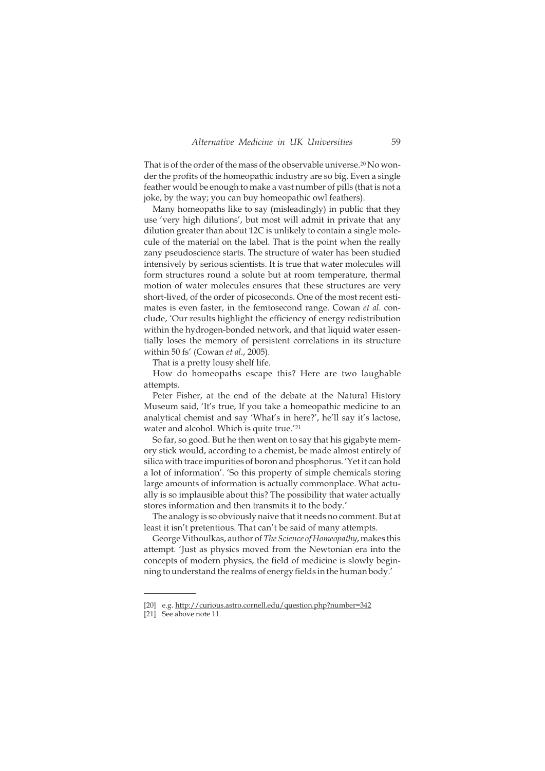That is of the order of the mass of the observable universe.<sup>20</sup> No wonder the profits of the homeopathic industry are so big. Even a single feather would be enough to make a vast number of pills (that is not a joke, by the way; you can buy homeopathic owl feathers).

Many homeopaths like to say (misleadingly) in public that they use 'very high dilutions', but most will admit in private that any dilution greater than about 12C is unlikely to contain a single molecule of the material on the label. That is the point when the really zany pseudoscience starts. The structure of water has been studied intensively by serious scientists. It is true that water molecules will form structures round a solute but at room temperature, thermal motion of water molecules ensures that these structures are very short-lived, of the order of picoseconds. One of the most recent estimates is even faster, in the femtosecond range. Cowan *et al.* conclude, 'Our results highlight the efficiency of energy redistribution within the hydrogen-bonded network, and that liquid water essentially loses the memory of persistent correlations in its structure within 50 fs' (Cowan *et al.*, 2005).

That is a pretty lousy shelf life.

How do homeopaths escape this? Here are two laughable attempts.

Peter Fisher, at the end of the debate at the Natural History Museum said, 'It's true, If you take a homeopathic medicine to an analytical chemist and say 'What's in here?', he'll say it's lactose, water and alcohol. Which is quite true.<sup>'21</sup>

So far, so good. But he then went on to say that his gigabyte memory stick would, according to a chemist, be made almost entirely of silica with trace impurities of boron and phosphorus. 'Yet it can hold a lot of information'. 'So this property of simple chemicals storing large amounts of information is actually commonplace. What actually is so implausible about this? The possibility that water actually stores information and then transmits it to the body.'

The analogy is so obviously naive that it needs no comment. But at least it isn't pretentious. That can't be said of many attempts.

George Vithoulkas, author of *The Science of Homeopathy*, makes this attempt. 'Just as physics moved from the Newtonian era into the concepts of modern physics, the field of medicine is slowly beginning to understand the realms of energy fields in the human body.'

<sup>[20]</sup> e.g. http://curious.astro.cornell.edu/question.php?number=342

<sup>[21]</sup> See above note 11.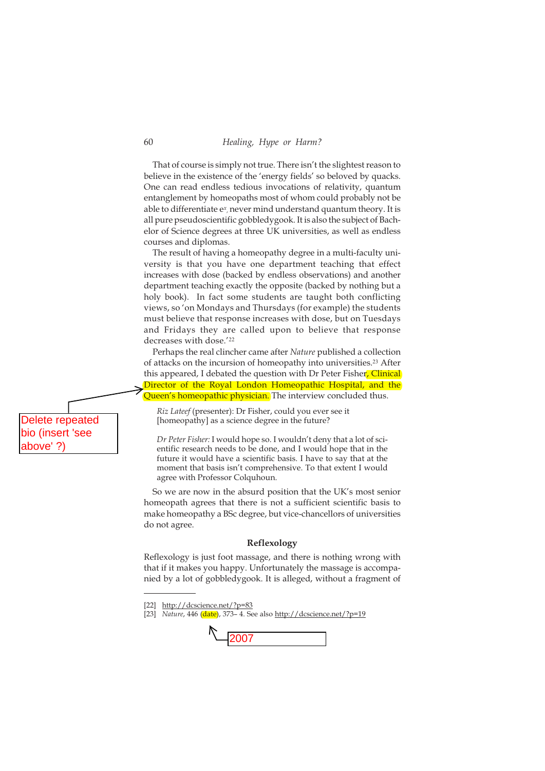That of course is simply not true. There isn't the slightest reason to believe in the existence of the 'energy fields' so beloved by quacks. One can read endless tedious invocations of relativity, quantum entanglement by homeopaths most of whom could probably not be able to differentiate e*<sup>x</sup>* , never mind understand quantum theory. It is all pure pseudoscientific gobbledygook. It is also the subject of Bachelor of Science degrees at three UK universities, as well as endless courses and diplomas.

The result of having a homeopathy degree in a multi-faculty university is that you have one department teaching that effect increases with dose (backed by endless observations) and another department teaching exactly the opposite (backed by nothing but a holy book). In fact some students are taught both conflicting views, so 'on Mondays and Thursdays (for example) the students must believe that response increases with dose, but on Tuesdays and Fridays they are called upon to believe that response decreases with dose.'<sup>22</sup>

Perhaps the real clincher came after *Nature* published a collection of attacks on the incursion of homeopathy into universities.<sup>23</sup> After this appeared, I debated the question with Dr Peter Fisher, Clinical Director of the Royal London Homeopathic Hospital, and the Queen's homeopathic physician. The interview concluded thus.

*Riz Lateef* (presenter): Dr Fisher, could you ever see it [homeopathy] as a science degree in the future?

*Dr Peter Fisher:* I would hope so. I wouldn't deny that a lot of scientific research needs to be done, and I would hope that in the future it would have a scientific basis. I have to say that at the moment that basis isn't comprehensive. To that extent I would agree with Professor Colquhoun.

So we are now in the absurd position that the UK's most senior homeopath agrees that there is not a sufficient scientific basis to make homeopathy a BSc degree, but vice-chancellors of universities do not agree.

#### **Reflexology**

Reflexology is just foot massage, and there is nothing wrong with that if it makes you happy. Unfortunately the massage is accompanied by a lot of gobbledygook. It is alleged, without a fragment of

[23] *Nature*, 446 (date), 373– 4. See also http://dcscience.net/?p=19



Delete repeated bio (insert 'see above' ?)

<sup>[22]</sup> http://dcscience.net/?p=83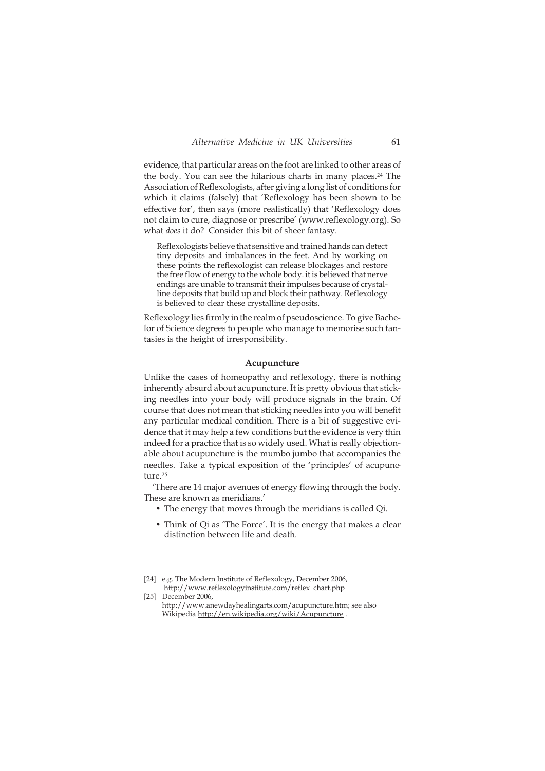evidence, that particular areas on the foot are linked to other areas of the body. You can see the hilarious charts in many places.<sup>24</sup> The Association of Reflexologists, after giving a long list of conditions for which it claims (falsely) that 'Reflexology has been shown to be effective for', then says (more realistically) that 'Reflexology does not claim to cure, diagnose or prescribe' (www.reflexology.org). So what *does* it do? Consider this bit of sheer fantasy.

Reflexologists believe that sensitive and trained hands can detect tiny deposits and imbalances in the feet. And by working on these points the reflexologist can release blockages and restore the free flow of energy to the whole body. it is believed that nerve endings are unable to transmit their impulses because of crystalline deposits that build up and block their pathway. Reflexology is believed to clear these crystalline deposits.

Reflexology lies firmly in the realm of pseudoscience. To give Bachelor of Science degrees to people who manage to memorise such fantasies is the height of irresponsibility.

#### **Acupuncture**

Unlike the cases of homeopathy and reflexology, there is nothing inherently absurd about acupuncture. It is pretty obvious that sticking needles into your body will produce signals in the brain. Of course that does not mean that sticking needles into you will benefit any particular medical condition. There is a bit of suggestive evidence that it may help a few conditions but the evidence is very thin indeed for a practice that is so widely used. What is really objectionable about acupuncture is the mumbo jumbo that accompanies the needles. Take a typical exposition of the 'principles' of acupuncture.<sup>25</sup>

'There are 14 major avenues of energy flowing through the body. These are known as meridians.'

- The energy that moves through the meridians is called Qi.
- Think of Qi as 'The Force'. It is the energy that makes a clear distinction between life and death.

<sup>[24]</sup> e.g. The Modern Institute of Reflexology, December 2006, http://www.reflexologyinstitute.com/reflex\_chart.php

<sup>[25]</sup> December 2006, http://www.anewdayhealingarts.com/acupuncture.htm; see also Wikipedia http://en.wikipedia.org/wiki/Acupuncture .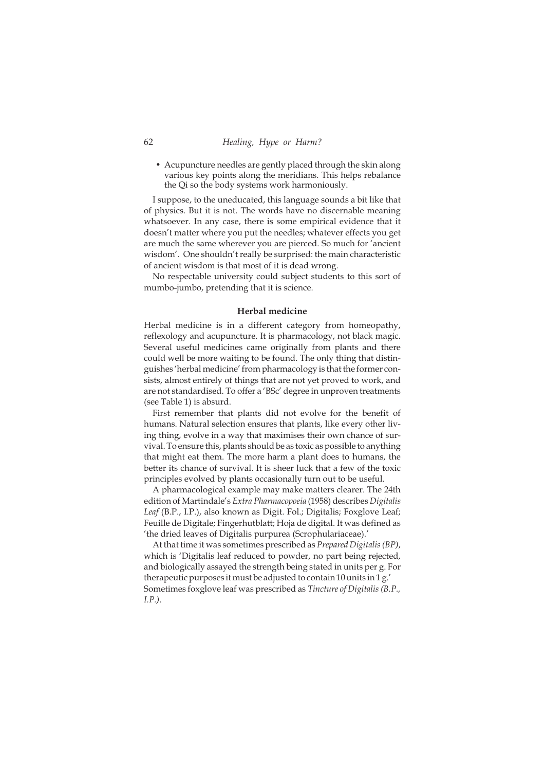• Acupuncture needles are gently placed through the skin along various key points along the meridians. This helps rebalance the Qi so the body systems work harmoniously.

I suppose, to the uneducated, this language sounds a bit like that of physics. But it is not. The words have no discernable meaning whatsoever. In any case, there is some empirical evidence that it doesn't matter where you put the needles; whatever effects you get are much the same wherever you are pierced. So much for 'ancient wisdom'. One shouldn't really be surprised: the main characteristic of ancient wisdom is that most of it is dead wrong.

No respectable university could subject students to this sort of mumbo-jumbo, pretending that it is science.

#### **Herbal medicine**

Herbal medicine is in a different category from homeopathy, reflexology and acupuncture. It is pharmacology, not black magic. Several useful medicines came originally from plants and there could well be more waiting to be found. The only thing that distinguishes 'herbal medicine' from pharmacology is that the former consists, almost entirely of things that are not yet proved to work, and are not standardised. To offer a 'BSc' degree in unproven treatments (see Table 1) is absurd.

First remember that plants did not evolve for the benefit of humans. Natural selection ensures that plants, like every other living thing, evolve in a way that maximises their own chance of survival. To ensure this, plants should be as toxic as possible to anything that might eat them. The more harm a plant does to humans, the better its chance of survival. It is sheer luck that a few of the toxic principles evolved by plants occasionally turn out to be useful.

A pharmacological example may make matters clearer. The 24th edition of Martindale's *Extra Pharmacopoeia* (1958) describes *Digitalis Leaf* (B.P., I.P.), also known as Digit. Fol.; Digitalis; Foxglove Leaf; Feuille de Digitale; Fingerhutblatt; Hoja de digital. It was defined as 'the dried leaves of Digitalis purpurea (Scrophulariaceae).'

At that time it was sometimes prescribed as *Prepared Digitalis (BP)*, which is 'Digitalis leaf reduced to powder, no part being rejected, and biologically assayed the strength being stated in units per g. For therapeutic purposes it must be adjusted to contain 10 units in 1 g.' Sometimes foxglove leaf was prescribed as *Tincture of Digitalis (B.P., I.P.)*.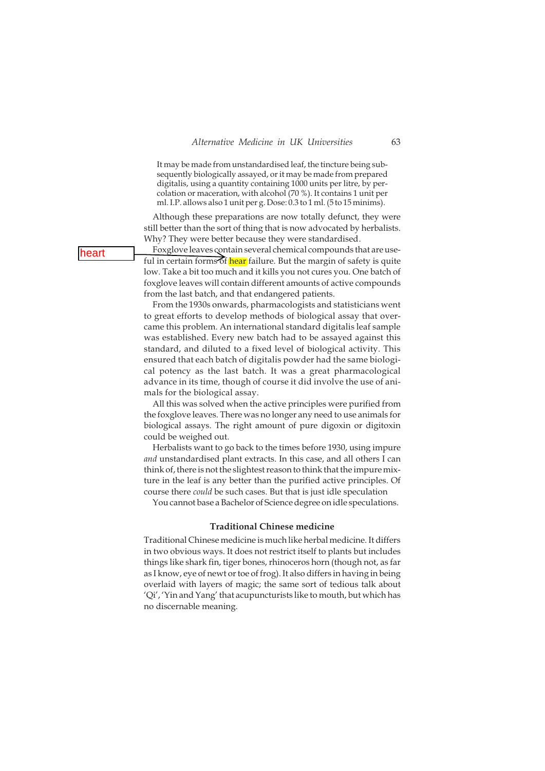It may be made from unstandardised leaf, the tincture being subsequently biologically assayed, or it may be made from prepared digitalis, using a quantity containing 1000 units per litre, by percolation or maceration, with alcohol (70 %). It contains 1 unit per ml. I.P. allows also 1 unit per g. Dose: 0.3 to 1 ml. (5 to 15 minims).

Although these preparations are now totally defunct, they were still better than the sort of thing that is now advocated by herbalists. Why? They were better because they were standardised.

Foxglove leaves contain several chemical compounds that are useful in certain forms of hear failure. But the margin of safety is quite low. Take a bit too much and it kills you not cures you. One batch of foxglove leaves will contain different amounts of active compounds from the last batch, and that endangered patients.

From the 1930s onwards, pharmacologists and statisticians went to great efforts to develop methods of biological assay that overcame this problem. An international standard digitalis leaf sample was established. Every new batch had to be assayed against this standard, and diluted to a fixed level of biological activity. This ensured that each batch of digitalis powder had the same biological potency as the last batch. It was a great pharmacological advance in its time, though of course it did involve the use of animals for the biological assay.

All this was solved when the active principles were purified from the foxglove leaves. There was no longer any need to use animals for biological assays. The right amount of pure digoxin or digitoxin could be weighed out.

Herbalists want to go back to the times before 1930, using impure *and* unstandardised plant extracts. In this case, and all others I can think of, there is not the slightest reason to think that the impure mixture in the leaf is any better than the purified active principles. Of course there *could* be such cases. But that is just idle speculation

You cannot base a Bachelor of Science degree on idle speculations.

#### **Traditional Chinese medicine**

Traditional Chinese medicine is much like herbal medicine. It differs in two obvious ways. It does not restrict itself to plants but includes things like shark fin, tiger bones, rhinoceros horn (though not, as far as I know, eye of newt or toe of frog). It also differs in having in being overlaid with layers of magic; the same sort of tedious talk about 'Qi', 'Yin and Yang' that acupuncturists like to mouth, but which has no discernable meaning.

heart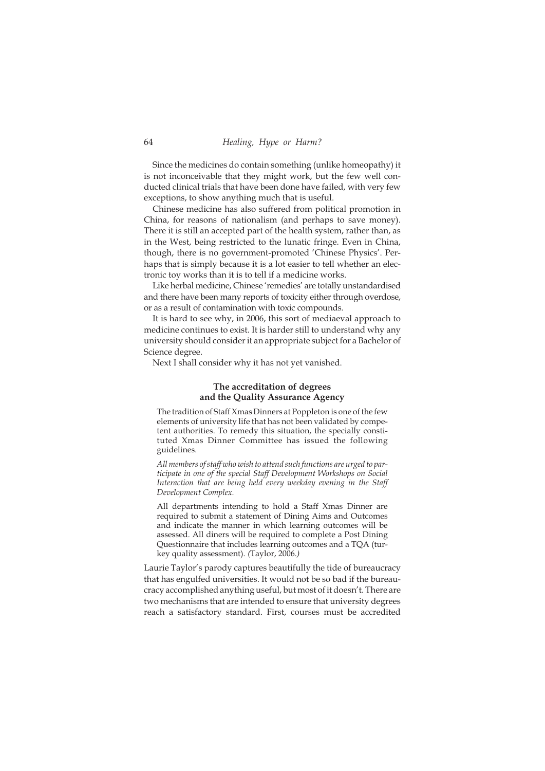Since the medicines do contain something (unlike homeopathy) it is not inconceivable that they might work, but the few well conducted clinical trials that have been done have failed, with very few exceptions, to show anything much that is useful.

Chinese medicine has also suffered from political promotion in China, for reasons of nationalism (and perhaps to save money). There it is still an accepted part of the health system, rather than, as in the West, being restricted to the lunatic fringe. Even in China, though, there is no government-promoted 'Chinese Physics'. Perhaps that is simply because it is a lot easier to tell whether an electronic toy works than it is to tell if a medicine works.

Like herbal medicine, Chinese 'remedies' are totally unstandardised and there have been many reports of toxicity either through overdose, or as a result of contamination with toxic compounds.

It is hard to see why, in 2006, this sort of mediaeval approach to medicine continues to exist. It is harder still to understand why any university should consider it an appropriate subject for a Bachelor of Science degree.

Next I shall consider why it has not yet vanished.

## **The accreditation of degrees and the Quality Assurance Agency**

The tradition of Staff Xmas Dinners at Poppleton is one of the few elements of university life that has not been validated by competent authorities. To remedy this situation, the specially constituted Xmas Dinner Committee has issued the following guidelines.

*All members of staff who wish to attend such functions are urged to participate in one of the special Staff Development Workshops on Social Interaction that are being held every weekday evening in the Staff Development Complex.*

All departments intending to hold a Staff Xmas Dinner are required to submit a statement of Dining Aims and Outcomes and indicate the manner in which learning outcomes will be assessed. All diners will be required to complete a Post Dining Questionnaire that includes learning outcomes and a TQA (turkey quality assessment). *(*Taylor, 2006.*)*

Laurie Taylor's parody captures beautifully the tide of bureaucracy that has engulfed universities. It would not be so bad if the bureaucracy accomplished anything useful, but most of it doesn't. There are two mechanisms that are intended to ensure that university degrees reach a satisfactory standard. First, courses must be accredited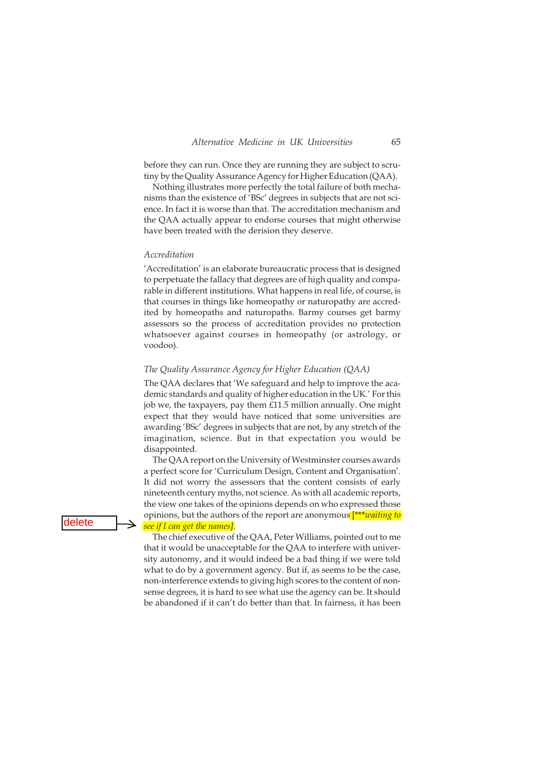before they can run. Once they are running they are subject to scrutiny by the Quality Assurance Agency for Higher Education (QAA).

Nothing illustrates more perfectly the total failure of both mechanisms than the existence of 'BSc' degrees in subjects that are not science. In fact it is worse than that. The accreditation mechanism and the QAA actually appear to endorse courses that might otherwise have been treated with the derision they deserve.

## *Accreditation*

'Accreditation' is an elaborate bureaucratic process that is designed to perpetuate the fallacy that degrees are of high quality and comparable in different institutions. What happens in real life, of course, is that courses in things like homeopathy or naturopathy are accredited by homeopaths and naturopaths. Barmy courses get barmy assessors so the process of accreditation provides no protection whatsoever against courses in homeopathy (or astrology, or voodoo).

#### *The Quality Assurance Agency for Higher Education (QAA)*

The QAA declares that 'We safeguard and help to improve the academic standards and quality of higher education in the UK.' For this job we, the taxpayers, pay them £11.5 million annually. One might expect that they would have noticed that some universities are awarding 'BSc' degrees in subjects that are not, by any stretch of the imagination, science. But in that expectation you would be disappointed.

The QAA report on the University of Westminster courses awards a perfect score for 'Curriculum Design, Content and Organisation'. It did not worry the assessors that the content consists of early nineteenth century myths, not science. As with all academic reports, the view one takes of the opinions depends on who expressed those opinions, but the authors of the report are anonymous [\*\*\**waiting to see if I can get the names].*

The chief executive of the QAA, Peter Williams, pointed out to me that it would be unacceptable for the QAA to interfere with university autonomy, and it would indeed be a bad thing if we were told what to do by a government agency. But if, as seems to be the case, non-interference extends to giving high scores to the content of nonsense degrees, it is hard to see what use the agency can be. It should be abandoned if it can't do better than that. In fairness, it has been

delete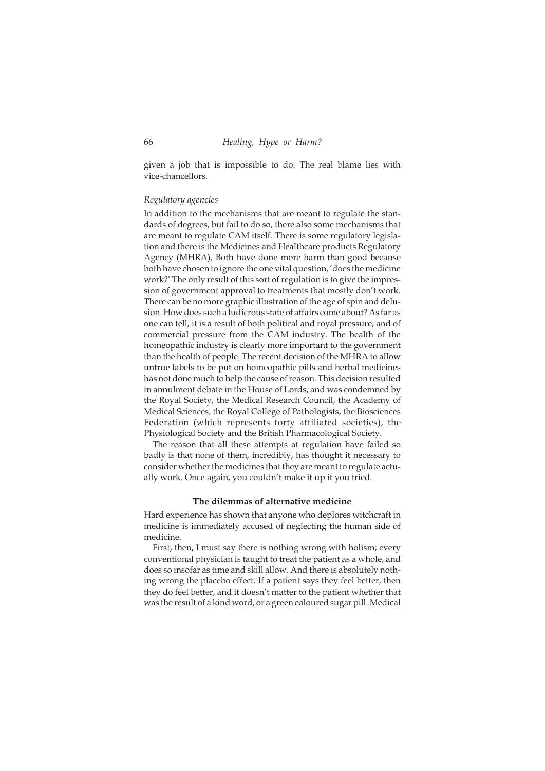given a job that is impossible to do. The real blame lies with vice-chancellors.

#### *Regulatory agencies*

In addition to the mechanisms that are meant to regulate the standards of degrees, but fail to do so, there also some mechanisms that are meant to regulate CAM itself. There is some regulatory legislation and there is the Medicines and Healthcare products Regulatory Agency (MHRA). Both have done more harm than good because both have chosen to ignore the one vital question, 'does the medicine work?' The only result of this sort of regulation is to give the impression of government approval to treatments that mostly don't work. There can be no more graphic illustration of the age of spin and delusion. How does such a ludicrous state of affairs come about? As far as one can tell, it is a result of both political and royal pressure, and of commercial pressure from the CAM industry. The health of the homeopathic industry is clearly more important to the government than the health of people. The recent decision of the MHRA to allow untrue labels to be put on homeopathic pills and herbal medicines has not done much to help the cause of reason. This decision resulted in annulment debate in the House of Lords, and was condemned by the Royal Society, the Medical Research Council, the Academy of Medical Sciences, the Royal College of Pathologists, the Biosciences Federation (which represents forty affiliated societies), the Physiological Society and the British Pharmacological Society.

The reason that all these attempts at regulation have failed so badly is that none of them, incredibly, has thought it necessary to consider whether the medicines that they are meant to regulate actually work. Once again, you couldn't make it up if you tried.

#### **The dilemmas of alternative medicine**

Hard experience has shown that anyone who deplores witchcraft in medicine is immediately accused of neglecting the human side of medicine.

First, then, I must say there is nothing wrong with holism; every conventional physician is taught to treat the patient as a whole, and does so insofar as time and skill allow. And there is absolutely nothing wrong the placebo effect. If a patient says they feel better, then they do feel better, and it doesn't matter to the patient whether that was the result of a kind word, or a green coloured sugar pill. Medical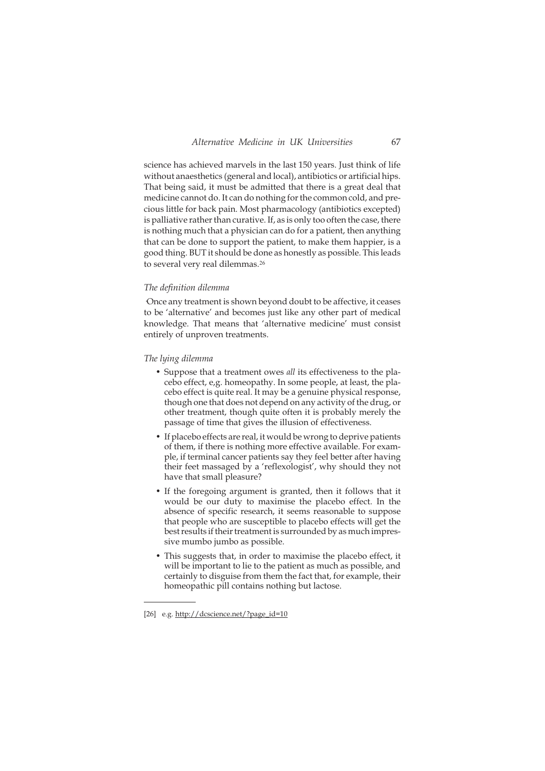science has achieved marvels in the last 150 years. Just think of life without anaesthetics (general and local), antibiotics or artificial hips. That being said, it must be admitted that there is a great deal that medicine cannot do. It can do nothing for the common cold, and precious little for back pain. Most pharmacology (antibiotics excepted) is palliative rather than curative. If, as is only too often the case, there is nothing much that a physician can do for a patient, then anything that can be done to support the patient, to make them happier, is a good thing. BUT it should be done as honestly as possible. This leads to several very real dilemmas.<sup>26</sup>

#### *The definition dilemma*

·Once any treatment is shown beyond doubt to be affective, it ceases to be 'alternative' and becomes just like any other part of medical knowledge. That means that 'alternative medicine' must consist entirely of unproven treatments.

## *The lying dilemma*

- Suppose that a treatment owes *all* its effectiveness to the placebo effect, e,g. homeopathy. In some people, at least, the placebo effect is quite real. It may be a genuine physical response, though one that does not depend on any activity of the drug, or other treatment, though quite often it is probably merely the passage of time that gives the illusion of effectiveness.
- If placebo effects are real, it would be wrong to deprive patients of them, if there is nothing more effective available. For example, if terminal cancer patients say they feel better after having their feet massaged by a 'reflexologist', why should they not have that small pleasure?
- If the foregoing argument is granted, then it follows that it would be our duty to maximise the placebo effect. In the absence of specific research, it seems reasonable to suppose that people who are susceptible to placebo effects will get the best results if their treatment is surrounded by as much impressive mumbo jumbo as possible.
- This suggests that, in order to maximise the placebo effect, it will be important to lie to the patient as much as possible, and certainly to disguise from them the fact that, for example, their homeopathic pill contains nothing but lactose.

<sup>[26]</sup> e.g. http://dcscience.net/?page\_id=10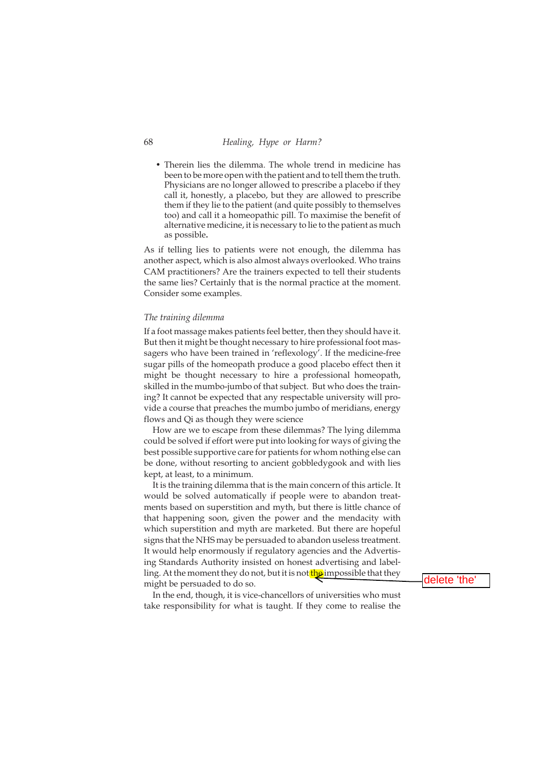• Therein lies the dilemma. The whole trend in medicine has been to be more open with the patient and to tell them the truth. Physicians are no longer allowed to prescribe a placebo if they call it, honestly, a placebo, but they are allowed to prescribe them if they lie to the patient (and quite possibly to themselves too) and call it a homeopathic pill. To maximise the benefit of alternative medicine, it is necessary to lie to the patient as much as possible**.**

As if telling lies to patients were not enough, the dilemma has another aspect, which is also almost always overlooked. Who trains CAM practitioners? Are the trainers expected to tell their students the same lies? Certainly that is the normal practice at the moment. Consider some examples.

#### *The training dilemma*

If a foot massage makes patients feel better, then they should have it. But then it might be thought necessary to hire professional foot massagers who have been trained in 'reflexology'. If the medicine-free sugar pills of the homeopath produce a good placebo effect then it might be thought necessary to hire a professional homeopath, skilled in the mumbo-jumbo of that subject. But who does the training? It cannot be expected that any respectable university will provide a course that preaches the mumbo jumbo of meridians, energy flows and Qi as though they were science

How are we to escape from these dilemmas? The lying dilemma could be solved if effort were put into looking for ways of giving the best possible supportive care for patients for whom nothing else can be done, without resorting to ancient gobbledygook and with lies kept, at least, to a minimum.

It is the training dilemma that is the main concern of this article. It would be solved automatically if people were to abandon treatments based on superstition and myth, but there is little chance of that happening soon, given the power and the mendacity with which superstition and myth are marketed. But there are hopeful signs that the NHS may be persuaded to abandon useless treatment. It would help enormously if regulatory agencies and the Advertising Standards Authority insisted on honest advertising and labelling. At the moment they do not, but it is not the impossible that they might be persuaded to do so.

delete 'the'

In the end, though, it is vice-chancellors of universities who must take responsibility for what is taught. If they come to realise the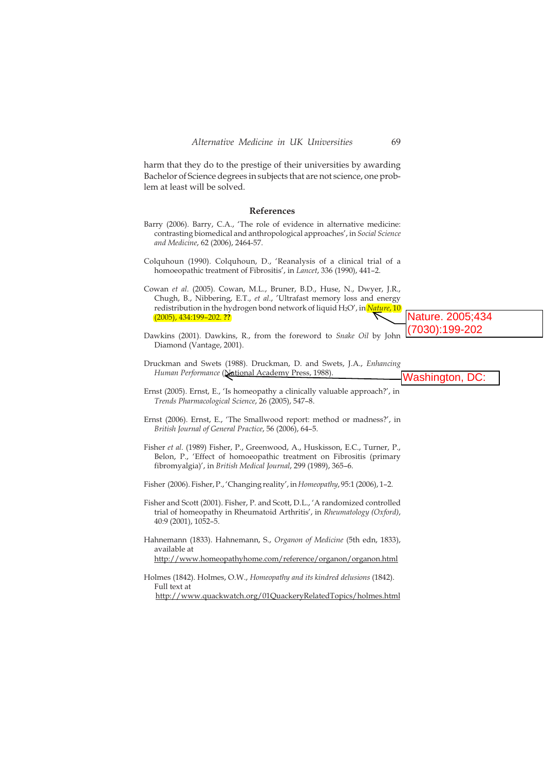harm that they do to the prestige of their universities by awarding Bachelor of Science degrees in subjects that are not science, one problem at least will be solved.

#### **References**

- Barry (2006). Barry, C.A., 'The role of evidence in alternative medicine: contrasting biomedical and anthropological approaches', in *Social Science and Medicine*, 62 (2006), 2464-57.
- Colquhoun (1990). Colquhoun, D., 'Reanalysis of a clinical trial of a homoeopathic treatment of Fibrositis', in *Lancet*, 336 (1990), 441–2.

Cowan *et al*. (2005). Cowan, M.L., Bruner, B.D., Huse, N., Dwyer, J.R., Chugh, B., Nibbering, E.T., *et al*., 'Ultrafast memory loss and energy redistribution in the hydrogen bond network of liquid H2O', in *Nature*, 10 (2005), 434:199–202. **??**

- Dawkins (2001). Dawkins, R., from the foreword to *Snake Oil* by John Diamond (Vantage, 2001). (7030):199-202
- Druckman and Swets (1988). Druckman, D. and Swets, J.A., *Enhancing* Human Performance (National Academy Press, 1988). Washington, DC:
- Ernst (2005). Ernst, E., 'Is homeopathy a clinically valuable approach?', in *Trends Pharmacological Science*, 26 (2005), 547–8.
- Ernst (2006). Ernst, E., 'The Smallwood report: method or madness?', in *British Journal of General Practice*, 56 (2006), 64–5.
- Fisher *et al*. (1989) Fisher, P., Greenwood, A., Huskisson, E.C., Turner, P., Belon, P., 'Effect of homoeopathic treatment on Fibrositis (primary fibromyalgia)', in *British Medical Journal*, 299 (1989), 365–6.
- Fisher (2006). Fisher, P., 'Changing reality', in*Homeopathy*, 95:1 (2006), 1–2.
- Fisher and Scott (2001). Fisher, P. and Scott, D.L., 'A randomized controlled trial of homeopathy in Rheumatoid Arthritis', in *Rheumatology (Oxford)*, 40:9 (2001), 1052–5.
- Hahnemann (1833). Hahnemann, S., *Organon of Medicine* (5th edn, 1833), available at

http://www.homeopathyhome.com/reference/organon/organon.html

Holmes (1842). Holmes, O.W., *Homeopathy and its kindred delusions* (1842). Full text at http://www.quackwatch.org/01QuackeryRelatedTopics/holmes.html Nature. 2005;434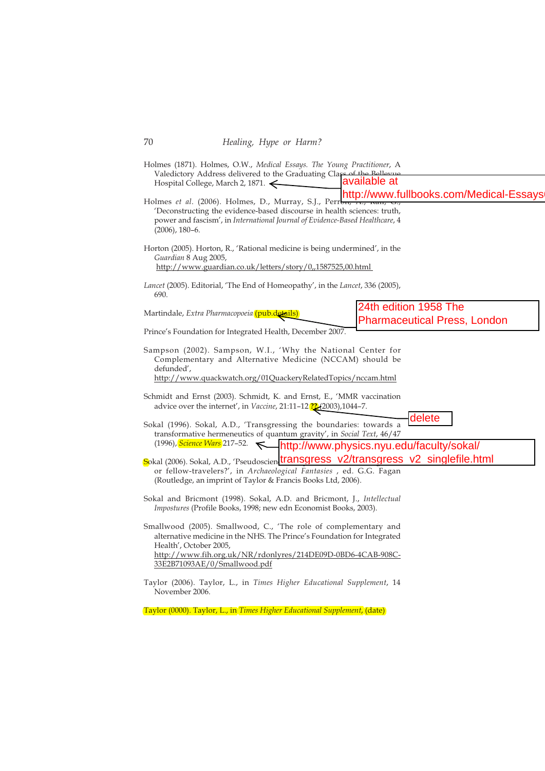| Holmes (1871). Holmes, O.W., Medical Essays. The Young Practitioner, A<br>Valedictory Address delivered to the Graduating Class of the Bellevine                                                                                                                                                      | available at                                                 |
|-------------------------------------------------------------------------------------------------------------------------------------------------------------------------------------------------------------------------------------------------------------------------------------------------------|--------------------------------------------------------------|
| Hospital College, March 2, 1871.<br>Holmes et al. (2006). Holmes, D., Murray, S.J., Perrb <del>it, A., Ran, G.,</del><br>'Deconstructing the evidence-based discourse in health sciences: truth,<br>power and fascism', in International Journal of Evidence-Based Healthcare, 4<br>$(2006)$ , 180–6. | http://www.fullbooks.com/Medical-Essays                      |
| Horton (2005). Horton, R., 'Rational medicine is being undermined', in the<br>Guardian 8 Aug 2005,<br>http://www.guardian.co.uk/letters/story/0,,1587525,00.html                                                                                                                                      |                                                              |
| <i>Lancet</i> (2005). Editorial, 'The End of Homeopathy', in the <i>Lancet</i> , 336 (2005),<br>690.                                                                                                                                                                                                  |                                                              |
| Martindale, Extra Pharmacopoeia (pub.details)                                                                                                                                                                                                                                                         | 24th edition 1958 The<br><b>Pharmaceutical Press, London</b> |
| Prince's Foundation for Integrated Health, December 2007.                                                                                                                                                                                                                                             |                                                              |
| Sampson (2002). Sampson, W.I., 'Why the National Center for<br>Complementary and Alternative Medicine (NCCAM) should be<br>defunded',<br>http://www.quackwatch.org/01QuackeryRelatedTopics/nccam.html                                                                                                 |                                                              |
| Schmidt and Ernst (2003). Schmidt, K. and Ernst, E., 'MMR vaccination<br>advice over the internet', in Vaccine, 21:11-12 <sup>22</sup> (2003),1044-7.                                                                                                                                                 |                                                              |
| Sokal (1996). Sokal, A.D., 'Transgressing the boundaries: towards a<br>transformative hermeneutics of quantum gravity', in Social Text, 46/47                                                                                                                                                         | delete                                                       |
|                                                                                                                                                                                                                                                                                                       |                                                              |
| Sokal (2006). Sokal, A.D., 'Pseudoscien <b>transgress_v2/transgress_v2_singlefile.html</b><br>or fellow-travelers?', in Archaeological Fantasies , ed. G.G. Fagan<br>(Routledge, an imprint of Taylor & Francis Books Ltd, 2006).                                                                     |                                                              |
| Sokal and Bricmont (1998). Sokal, A.D. and Bricmont, J., Intellectual<br>Impostures (Profile Books, 1998; new edn Economist Books, 2003).                                                                                                                                                             |                                                              |
| Smallwood (2005). Smallwood, C., 'The role of complementary and<br>alternative medicine in the NHS. The Prince's Foundation for Integrated<br>Health', October 2005,<br>http://www.fih.org.uk/NR/rdonlyres/214DE09D-0BD6-4CAB-908C-<br>33E2B71093AE/0/Smallwood.pdf                                   |                                                              |
| Taylor (2006). Taylor, L., in Times Higher Educational Supplement, 14<br>November 2006.                                                                                                                                                                                                               |                                                              |

Taylor (0000). Taylor, L., in *Times Higher Educational Supplement*, (date)